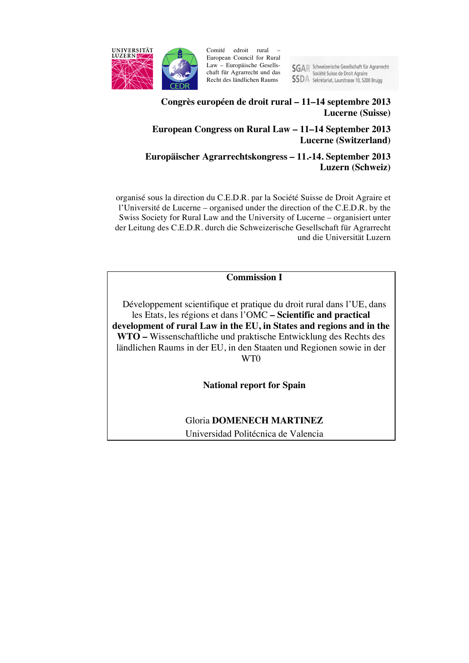

Comité edroit rural European Council for Rural Law – Europäische Gesellschaft für Agrarrecht und das Recht des ländlichen Raums

SGAR Schweizerische Gesellschaft für Agrarrecht<br>Société Suisse de Droit Agraire **SSDA** Sekretariat, Laurstrasse 10, 5200 Brugg

# **Congrès européen de droit rural – 11–14 septembre 2013 Lucerne (Suisse)**

# **European Congress on Rural Law – 11–14 September 2013 Lucerne (Switzerland)**

# **Europäischer Agrarrechtskongress – 11.-14. September 2013 Luzern (Schweiz)**

organisé sous la direction du C.E.D.R. par la Société Suisse de Droit Agraire et l'Université de Lucerne – organised under the direction of the C.E.D.R. by the Swiss Society for Rural Law and the University of Lucerne – organisiert unter der Leitung des C.E.D.R. durch die Schweizerische Gesellschaft für Agrarrecht und die Universität Luzern

**Commission I**

Développement scientifique et pratique du droit rural dans l'UE, dans les Etats, les régions et dans l'OMC **– Scientific and practical development of rural Law in the EU, in States and regions and in the WTO –** Wissenschaftliche und praktische Entwicklung des Rechts des ländlichen Raums in der EU, in den Staaten und Regionen sowie in der WT0

**National report for Spain**

Gloria **DOMENECH MARTINEZ** Universidad Politécnica de Valencia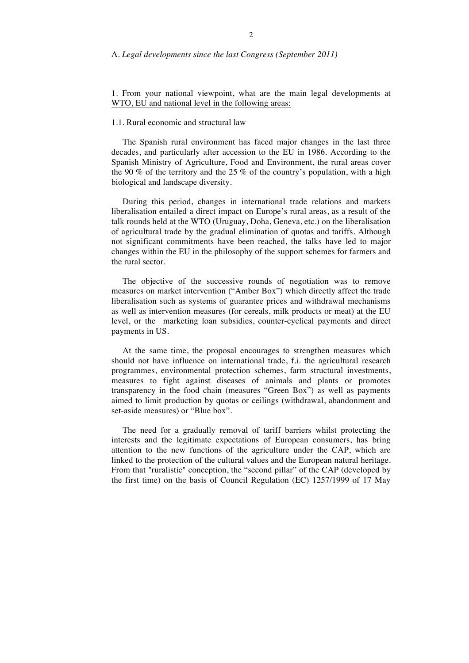#### A. *Legal developments since the last Congress (September 2011)*

## 1. From your national viewpoint, what are the main legal developments at WTO, EU and national level in the following areas:

## 1.1. Rural economic and structural law

The Spanish rural environment has faced major changes in the last three decades, and particularly after accession to the EU in 1986. According to the Spanish Ministry of Agriculture, Food and Environment, the rural areas cover the 90 % of the territory and the 25 % of the country's population, with a high biological and landscape diversity.

During this period, changes in international trade relations and markets liberalisation entailed a direct impact on Europe's rural areas, as a result of the talk rounds held at the WTO (Uruguay, Doha, Geneva, etc.) on the liberalisation of agricultural trade by the gradual elimination of quotas and tariffs. Although not significant commitments have been reached, the talks have led to major changes within the EU in the philosophy of the support schemes for farmers and the rural sector.

The objective of the successive rounds of negotiation was to remove measures on market intervention ("Amber Box") which directly affect the trade liberalisation such as systems of guarantee prices and withdrawal mechanisms as well as intervention measures (for cereals, milk products or meat) at the EU level, or the marketing loan subsidies, counter-cyclical payments and direct payments in US.

At the same time, the proposal encourages to strengthen measures which should not have influence on international trade, f.i. the agricultural research programmes, environmental protection schemes, farm structural investments, measures to fight against diseases of animals and plants or promotes transparency in the food chain (measures "Green Box") as well as payments aimed to limit production by quotas or ceilings (withdrawal, abandonment and set-aside measures) or "Blue box".

The need for a gradually removal of tariff barriers whilst protecting the interests and the legitimate expectations of European consumers, has bring attention to the new functions of the agriculture under the CAP, which are linked to the protection of the cultural values and the European natural heritage. From that "ruralistic" conception, the "second pillar" of the CAP (developed by the first time) on the basis of Council Regulation (EC) 1257/1999 of 17 May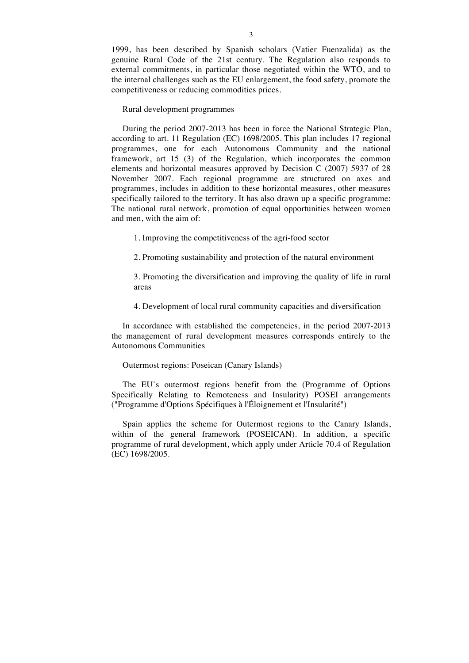1999, has been described by Spanish scholars (Vatier Fuenzalida) as the genuine Rural Code of the 21st century. The Regulation also responds to external commitments, in particular those negotiated within the WTO, and to the internal challenges such as the EU enlargement, the food safety, promote the competitiveness or reducing commodities prices.

Rural development programmes

During the period 2007-2013 has been in force the National Strategic Plan, according to art. 11 Regulation (EC) 1698/2005. This plan includes 17 regional programmes, one for each Autonomous Community and the national framework, art 15 (3) of the Regulation, which incorporates the common elements and horizontal measures approved by Decision C (2007) 5937 of 28 November 2007. Each regional programme are structured on axes and programmes, includes in addition to these horizontal measures, other measures specifically tailored to the territory. It has also drawn up a specific programme: The national rural network, promotion of equal opportunities between women and men, with the aim of:

1. Improving the competitiveness of the agri-food sector

2. Promoting sustainability and protection of the natural environment

3. Promoting the diversification and improving the quality of life in rural areas

4. Development of local rural community capacities and diversification

In accordance with established the competencies, in the period 2007-2013 the management of rural development measures corresponds entirely to the Autonomous Communities

Outermost regions: Poseican (Canary Islands)

The EU´s outermost regions benefit from the (Programme of Options Specifically Relating to Remoteness and Insularity) POSEI arrangements ("Programme d'Options Spécifiques à l'Éloignement et l'Insularité")

Spain applies the scheme for Outermost regions to the Canary Islands, within of the general framework (POSEICAN). In addition, a specific programme of rural development, which apply under Article 70.4 of Regulation (EC) 1698/2005.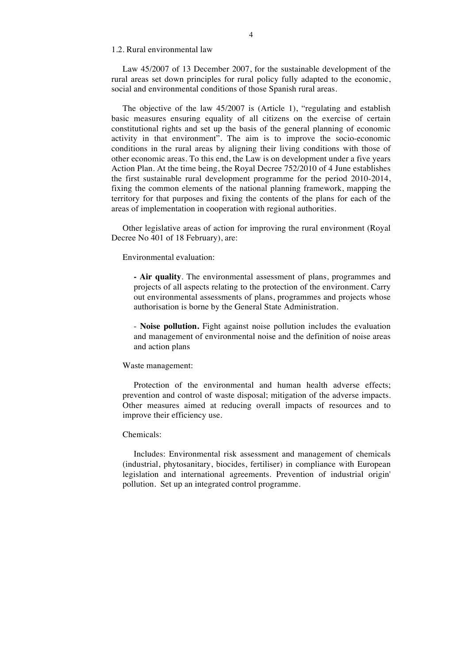# 1.2. Rural environmental law

Law 45/2007 of 13 December 2007, for the sustainable development of the rural areas set down principles for rural policy fully adapted to the economic, social and environmental conditions of those Spanish rural areas.

The objective of the law 45/2007 is (Article 1), "regulating and establish basic measures ensuring equality of all citizens on the exercise of certain constitutional rights and set up the basis of the general planning of economic activity in that environment". The aim is to improve the socio-economic conditions in the rural areas by aligning their living conditions with those of other economic areas. To this end, the Law is on development under a five years Action Plan. At the time being, the Royal Decree 752/2010 of 4 June establishes the first sustainable rural development programme for the period 2010-2014, fixing the common elements of the national planning framework, mapping the territory for that purposes and fixing the contents of the plans for each of the areas of implementation in cooperation with regional authorities.

Other legislative areas of action for improving the rural environment (Royal Decree No 401 of 18 February), are:

Environmental evaluation:

**- Air quality**. The environmental assessment of plans, programmes and projects of all aspects relating to the protection of the environment. Carry out environmental assessments of plans, programmes and projects whose authorisation is borne by the General State Administration.

- **Noise pollution.** Fight against noise pollution includes the evaluation and management of environmental noise and the definition of noise areas and action plans

#### Waste management:

Protection of the environmental and human health adverse effects; prevention and control of waste disposal; mitigation of the adverse impacts. Other measures aimed at reducing overall impacts of resources and to improve their efficiency use.

#### Chemicals:

Includes: Environmental risk assessment and management of chemicals (industrial, phytosanitary, biocides, fertiliser) in compliance with European legislation and international agreements. Prevention of industrial origin' pollution. Set up an integrated control programme.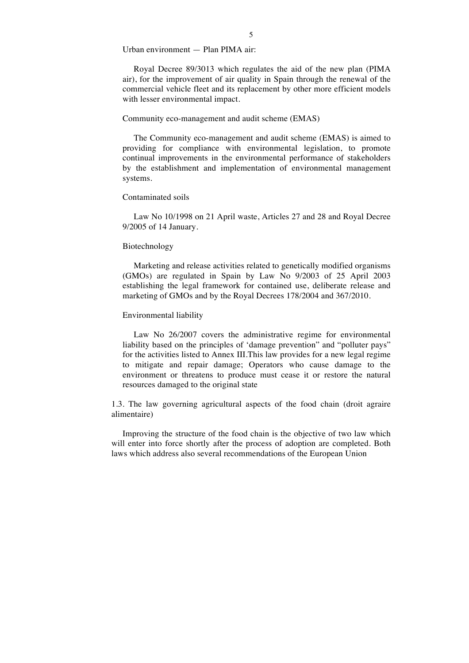Urban environment — Plan PIMA air:

Royal Decree 89/3013 which regulates the aid of the new plan (PIMA air), for the improvement of air quality in Spain through the renewal of the commercial vehicle fleet and its replacement by other more efficient models with lesser environmental impact.

#### Community eco-management and audit scheme (EMAS)

The Community eco-management and audit scheme (EMAS) is aimed to providing for compliance with environmental legislation, to promote continual improvements in the environmental performance of stakeholders by the establishment and implementation of environmental management systems.

## Contaminated soils

Law No 10/1998 on 21 April waste, Articles 27 and 28 and Royal Decree 9/2005 of 14 January.

#### Biotechnology

Marketing and release activities related to genetically modified organisms (GMOs) are regulated in Spain by Law No 9/2003 of 25 April 2003 establishing the legal framework for contained use, deliberate release and marketing of GMOs and by the Royal Decrees 178/2004 and 367/2010.

## Environmental liability

Law No 26/2007 covers the administrative regime for environmental liability based on the principles of 'damage prevention" and "polluter pays" for the activities listed to Annex III.This law provides for a new legal regime to mitigate and repair damage; Operators who cause damage to the environment or threatens to produce must cease it or restore the natural resources damaged to the original state

1.3. The law governing agricultural aspects of the food chain (droit agraire alimentaire)

Improving the structure of the food chain is the objective of two law which will enter into force shortly after the process of adoption are completed. Both laws which address also several recommendations of the European Union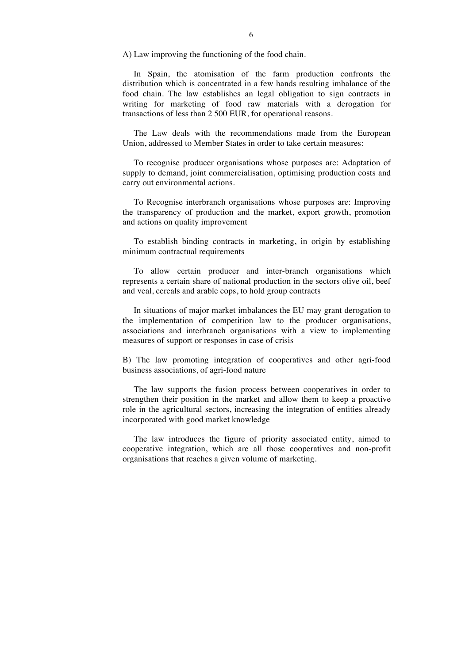A) Law improving the functioning of the food chain.

In Spain, the atomisation of the farm production confronts the distribution which is concentrated in a few hands resulting imbalance of the food chain. The law establishes an legal obligation to sign contracts in writing for marketing of food raw materials with a derogation for transactions of less than 2 500 EUR, for operational reasons.

The Law deals with the recommendations made from the European Union, addressed to Member States in order to take certain measures:

To recognise producer organisations whose purposes are: Adaptation of supply to demand, joint commercialisation, optimising production costs and carry out environmental actions.

To Recognise interbranch organisations whose purposes are: Improving the transparency of production and the market, export growth, promotion and actions on quality improvement

To establish binding contracts in marketing, in origin by establishing minimum contractual requirements

To allow certain producer and inter-branch organisations which represents a certain share of national production in the sectors olive oil, beef and veal, cereals and arable cops, to hold group contracts

In situations of major market imbalances the EU may grant derogation to the implementation of competition law to the producer organisations, associations and interbranch organisations with a view to implementing measures of support or responses in case of crisis

B) The law promoting integration of cooperatives and other agri-food business associations, of agri-food nature

The law supports the fusion process between cooperatives in order to strengthen their position in the market and allow them to keep a proactive role in the agricultural sectors, increasing the integration of entities already incorporated with good market knowledge

The law introduces the figure of priority associated entity, aimed to cooperative integration, which are all those cooperatives and non-profit organisations that reaches a given volume of marketing.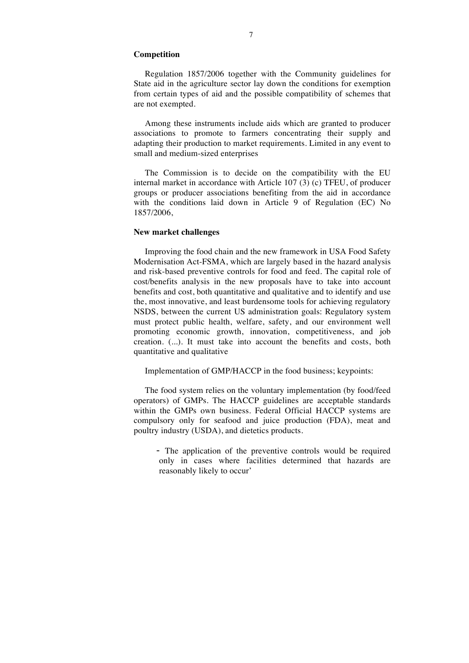### **Competition**

Regulation 1857/2006 together with the Community guidelines for State aid in the agriculture sector lay down the conditions for exemption from certain types of aid and the possible compatibility of schemes that are not exempted.

Among these instruments include aids which are granted to producer associations to promote to farmers concentrating their supply and adapting their production to market requirements. Limited in any event to small and medium-sized enterprises

The Commission is to decide on the compatibility with the EU internal market in accordance with Article 107 (3) (c) TFEU, of producer groups or producer associations benefiting from the aid in accordance with the conditions laid down in Article 9 of Regulation (EC) No 1857/2006,

### **New market challenges**

Improving the food chain and the new framework in USA Food Safety Modernisation Act-FSMA, which are largely based in the hazard analysis and risk-based preventive controls for food and feed. The capital role of cost/benefits analysis in the new proposals have to take into account benefits and cost, both quantitative and qualitative and to identify and use the, most innovative, and least burdensome tools for achieving regulatory NSDS, between the current US administration goals: Regulatory system must protect public health, welfare, safety, and our environment well promoting economic growth, innovation, competitiveness, and job creation. (...). It must take into account the benefits and costs, both quantitative and qualitative

Implementation of GMP/HACCP in the food business; keypoints:

The food system relies on the voluntary implementation (by food/feed operators) of GMPs. The HACCP guidelines are acceptable standards within the GMPs own business. Federal Official HACCP systems are compulsory only for seafood and juice production (FDA), meat and poultry industry (USDA), and dietetics products.

- The application of the preventive controls would be required only in cases where facilities determined that hazards are reasonably likely to occur'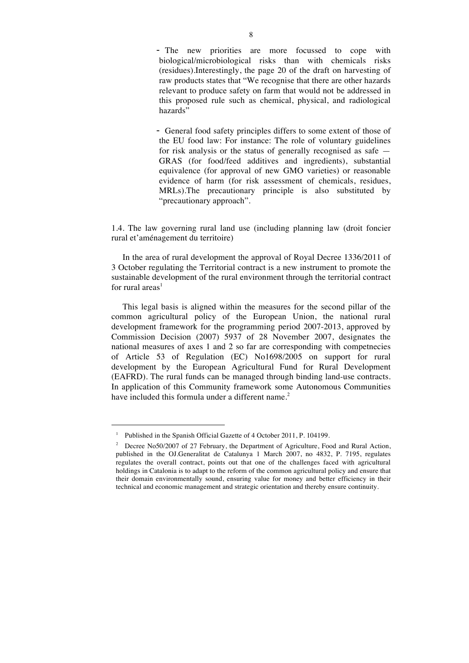- The new priorities are more focussed to cope with biological/microbiological risks than with chemicals risks (residues).Interestingly, the page 20 of the draft on harvesting of raw products states that "We recognise that there are other hazards relevant to produce safety on farm that would not be addressed in this proposed rule such as chemical, physical, and radiological hazards"

- General food safety principles differs to some extent of those of the EU food law: For instance: The role of voluntary guidelines for risk analysis or the status of generally recognised as safe — GRAS (for food/feed additives and ingredients), substantial equivalence (for approval of new GMO varieties) or reasonable evidence of harm (for risk assessment of chemicals, residues, MRLs).The precautionary principle is also substituted by "precautionary approach".

1.4. The law governing rural land use (including planning law (droit foncier rural et'aménagement du territoire)

In the area of rural development the approval of Royal Decree 1336/2011 of 3 October regulating the Territorial contract is a new instrument to promote the sustainable development of the rural environment through the territorial contract for rural areas<sup>1</sup>

This legal basis is aligned within the measures for the second pillar of the common agricultural policy of the European Union, the national rural development framework for the programming period 2007-2013, approved by Commission Decision (2007) 5937 of 28 November 2007, designates the national measures of axes 1 and 2 so far are corresponding with competnecies of Article 53 of Regulation (EC) No1698/2005 on support for rural development by the European Agricultural Fund for Rural Development (EAFRD). The rural funds can be managed through binding land-use contracts. In application of this Community framework some Autonomous Communities have included this formula under a different name.<sup>2</sup>

<sup>&</sup>lt;sup>1</sup> Published in the Spanish Official Gazette of 4 October 2011, P. 104199.

<sup>&</sup>lt;sup>2</sup> Decree No50/2007 of 27 February, the Department of Agriculture, Food and Rural Action, published in the OJ.Generalitat de Catalunya 1 March 2007, no 4832, P. 7195, regulates regulates the overall contract, points out that one of the challenges faced with agricultural holdings in Catalonia is to adapt to the reform of the common agricultural policy and ensure that their domain environmentally sound, ensuring value for money and better efficiency in their technical and economic management and strategic orientation and thereby ensure continuity.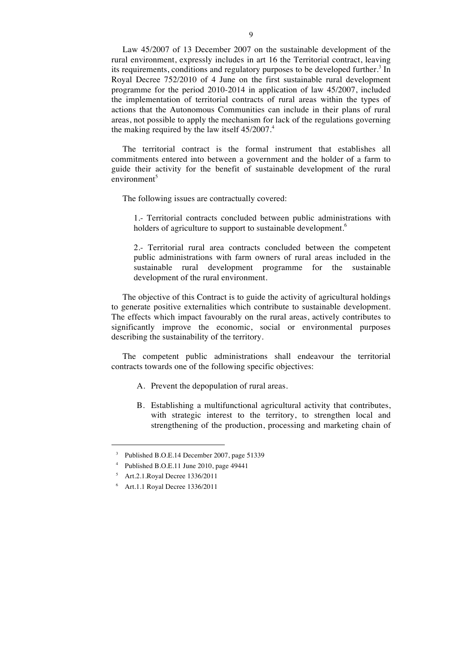Law 45/2007 of 13 December 2007 on the sustainable development of the rural environment, expressly includes in art 16 the Territorial contract, leaving its requirements, conditions and regulatory purposes to be developed further.<sup>3</sup> In Royal Decree 752/2010 of 4 June on the first sustainable rural development programme for the period 2010-2014 in application of law 45/2007, included the implementation of territorial contracts of rural areas within the types of actions that the Autonomous Communities can include in their plans of rural areas, not possible to apply the mechanism for lack of the regulations governing the making required by the law itself  $45/2007$ .<sup>4</sup>

The territorial contract is the formal instrument that establishes all commitments entered into between a government and the holder of a farm to guide their activity for the benefit of sustainable development of the rural environment<sup>5</sup>

The following issues are contractually covered:

1.- Territorial contracts concluded between public administrations with holders of agriculture to support to sustainable development.<sup>6</sup>

2.- Territorial rural area contracts concluded between the competent public administrations with farm owners of rural areas included in the sustainable rural development programme for the sustainable development of the rural environment.

The objective of this Contract is to guide the activity of agricultural holdings to generate positive externalities which contribute to sustainable development. The effects which impact favourably on the rural areas, actively contributes to significantly improve the economic, social or environmental purposes describing the sustainability of the territory.

The competent public administrations shall endeavour the territorial contracts towards one of the following specific objectives:

- A. Prevent the depopulation of rural areas.
- B. Establishing a multifunctional agricultural activity that contributes, with strategic interest to the territory, to strengthen local and strengthening of the production, processing and marketing chain of

 <sup>3</sup> Published B.O.E.14 December 2007, page 51339

Published B.O.E.11 June 2010, page 49441

<sup>5</sup> Art.2.1.Royal Decree 1336/2011

<sup>6</sup> Art.1.1 Royal Decree 1336/2011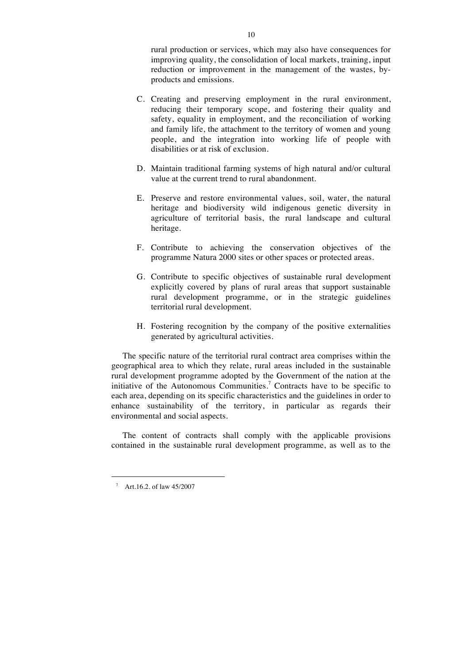rural production or services, which may also have consequences for improving quality, the consolidation of local markets, training, input reduction or improvement in the management of the wastes, byproducts and emissions.

- C. Creating and preserving employment in the rural environment, reducing their temporary scope, and fostering their quality and safety, equality in employment, and the reconciliation of working and family life, the attachment to the territory of women and young people, and the integration into working life of people with disabilities or at risk of exclusion.
- D. Maintain traditional farming systems of high natural and/or cultural value at the current trend to rural abandonment.
- E. Preserve and restore environmental values, soil, water, the natural heritage and biodiversity wild indigenous genetic diversity in agriculture of territorial basis, the rural landscape and cultural heritage.
- F. Contribute to achieving the conservation objectives of the programme Natura 2000 sites or other spaces or protected areas.
- G. Contribute to specific objectives of sustainable rural development explicitly covered by plans of rural areas that support sustainable rural development programme, or in the strategic guidelines territorial rural development.
- H. Fostering recognition by the company of the positive externalities generated by agricultural activities.

The specific nature of the territorial rural contract area comprises within the geographical area to which they relate, rural areas included in the sustainable rural development programme adopted by the Government of the nation at the initiative of the Autonomous Communities.<sup>7</sup> Contracts have to be specific to each area, depending on its specific characteristics and the guidelines in order to enhance sustainability of the territory, in particular as regards their environmental and social aspects.

The content of contracts shall comply with the applicable provisions contained in the sustainable rural development programme, as well as to the

 <sup>7</sup> Art.16.2. of law 45/2007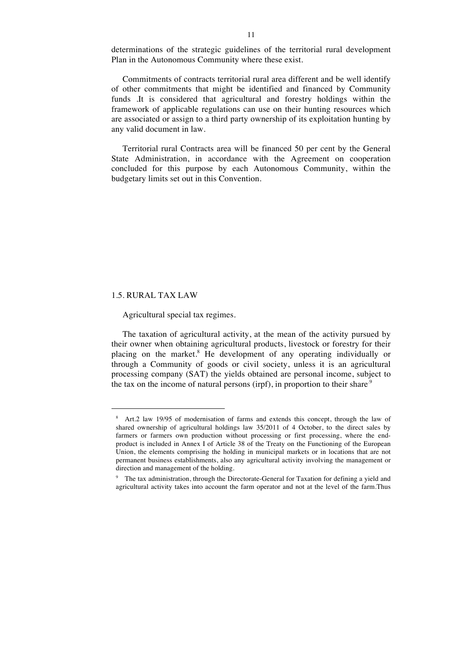determinations of the strategic guidelines of the territorial rural development Plan in the Autonomous Community where these exist.

Commitments of contracts territorial rural area different and be well identify of other commitments that might be identified and financed by Community funds .It is considered that agricultural and forestry holdings within the framework of applicable regulations can use on their hunting resources which are associated or assign to a third party ownership of its exploitation hunting by any valid document in law.

Territorial rural Contracts area will be financed 50 per cent by the General State Administration, in accordance with the Agreement on cooperation concluded for this purpose by each Autonomous Community, within the budgetary limits set out in this Convention.

### 1.5. RURAL TAX LAW

### Agricultural special tax regimes.

The taxation of agricultural activity, at the mean of the activity pursued by their owner when obtaining agricultural products, livestock or forestry for their placing on the market.8 He development of any operating individually or through a Community of goods or civil society, unless it is an agricultural processing company (SAT) the yields obtained are personal income, subject to the tax on the income of natural persons (irpf), in proportion to their share.<sup>9</sup>

 <sup>8</sup> Art.2 law 19/95 of modernisation of farms and extends this concept, through the law of shared ownership of agricultural holdings law 35/2011 of 4 October, to the direct sales by farmers or farmers own production without processing or first processing, where the endproduct is included in Annex I of Article 38 of the Treaty on the Functioning of the European Union, the elements comprising the holding in municipal markets or in locations that are not permanent business establishments, also any agricultural activity involving the management or direction and management of the holding.

<sup>9</sup> The tax administration, through the Directorate-General for Taxation for defining a yield and agricultural activity takes into account the farm operator and not at the level of the farm.Thus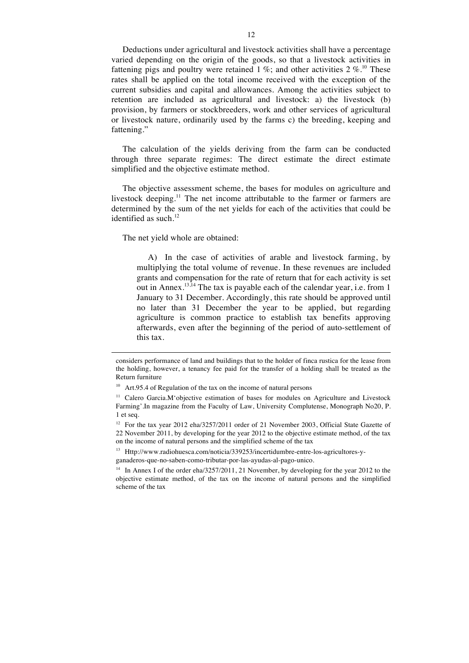Deductions under agricultural and livestock activities shall have a percentage varied depending on the origin of the goods, so that a livestock activities in fattening pigs and poultry were retained 1 %; and other activities 2 %.<sup>10</sup> These rates shall be applied on the total income received with the exception of the current subsidies and capital and allowances. Among the activities subject to retention are included as agricultural and livestock: a) the livestock (b) provision, by farmers or stockbreeders, work and other services of agricultural or livestock nature, ordinarily used by the farms c) the breeding, keeping and fattening."

The calculation of the yields deriving from the farm can be conducted through three separate regimes: The direct estimate the direct estimate simplified and the objective estimate method.

The objective assessment scheme, the bases for modules on agriculture and livestock deeping.<sup>11</sup> The net income attributable to the farmer or farmers are determined by the sum of the net yields for each of the activities that could be identified as such. $^{12}$ 

The net yield whole are obtained:

 $\overline{a}$ 

A) In the case of activities of arable and livestock farming, by multiplying the total volume of revenue. In these revenues are included grants and compensation for the rate of return that for each activity is set out in Annex.<sup>13,14</sup> The tax is payable each of the calendar year, i.e. from 1 January to 31 December. Accordingly, this rate should be approved until no later than 31 December the year to be applied, but regarding agriculture is common practice to establish tax benefits approving afterwards, even after the beginning of the period of auto-settlement of this tax.

considers performance of land and buildings that to the holder of finca rustica for the lease from the holding, however, a tenancy fee paid for the transfer of a holding shall be treated as the Return furniture

 $10$  Art.95.4 of Regulation of the tax on the income of natural persons

<sup>&</sup>lt;sup>11</sup> Calero Garcia.M'objective estimation of bases for modules on Agriculture and Livestock Farming'.In magazine from the Faculty of Law, University Complutense, Monograph No20, P. 1 et seq.

<sup>&</sup>lt;sup>12</sup> For the tax year 2012 eha/3257/2011 order of 21 November 2003, Official State Gazette of 22 November 2011, by developing for the year 2012 to the objective estimate method, of the tax on the income of natural persons and the simplified scheme of the tax

<sup>13</sup> Http://www.radiohuesca.com/noticia/339253/incertidumbre-entre-los-agricultores-yganaderos-que-no-saben-como-tributar-por-las-ayudas-al-pago-unico.

<sup>&</sup>lt;sup>14</sup> In Annex I of the order eha/3257/2011, 21 November, by developing for the year 2012 to the objective estimate method, of the tax on the income of natural persons and the simplified scheme of the tax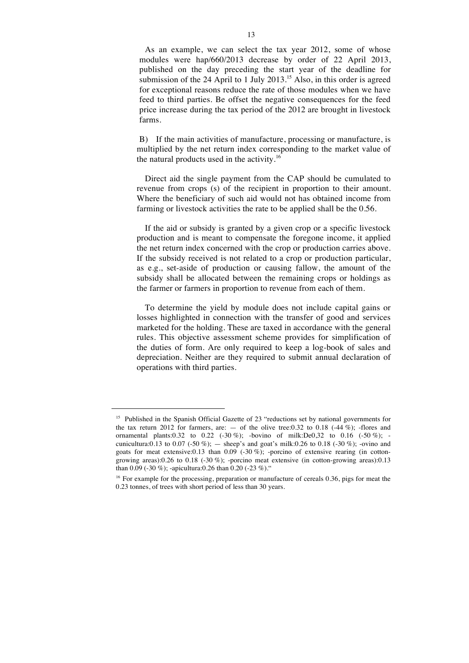As an example, we can select the tax year 2012, some of whose modules were hap/660/2013 decrease by order of 22 April 2013, published on the day preceding the start year of the deadline for submission of the 24 April to 1 July 2013.<sup>15</sup> Also, in this order is agreed for exceptional reasons reduce the rate of those modules when we have feed to third parties. Be offset the negative consequences for the feed price increase during the tax period of the 2012 are brought in livestock farms.

B) If the main activities of manufacture, processing or manufacture, is multiplied by the net return index corresponding to the market value of the natural products used in the activity.<sup>16</sup>

Direct aid the single payment from the CAP should be cumulated to revenue from crops (s) of the recipient in proportion to their amount. Where the beneficiary of such aid would not has obtained income from farming or livestock activities the rate to be applied shall be the 0.56.

If the aid or subsidy is granted by a given crop or a specific livestock production and is meant to compensate the foregone income, it applied the net return index concerned with the crop or production carries above. If the subsidy received is not related to a crop or production particular, as e.g., set-aside of production or causing fallow, the amount of the subsidy shall be allocated between the remaining crops or holdings as the farmer or farmers in proportion to revenue from each of them.

To determine the yield by module does not include capital gains or losses highlighted in connection with the transfer of good and services marketed for the holding. These are taxed in accordance with the general rules. This objective assessment scheme provides for simplification of the duties of form. Are only required to keep a log-book of sales and depreciation. Neither are they required to submit annual declaration of operations with third parties.

<sup>&</sup>lt;sup>15</sup> Published in the Spanish Official Gazette of 23 "reductions set by national governments for the tax return 2012 for farmers, are:  $-$  of the olive tree:0.32 to 0.18 (-44 %); -flores and ornamental plants:0.32 to 0.22 (-30 %); -bovino of milk:De0,32 to 0.16 (-50 %); cunicultura:0.13 to 0.07 (-50 %); — sheep's and goat's milk:0.26 to 0.18 (-30 %); -ovino and goats for meat extensive:0.13 than 0.09 (-30 %); -porcino of extensive rearing (in cottongrowing areas):0.26 to 0.18 (-30 %); -porcino meat extensive (in cotton-growing areas):0.13 than 0.09 (-30 %); -apicultura:0.26 than 0.20 (-23 %)."

<sup>&</sup>lt;sup>16</sup> For example for the processing, preparation or manufacture of cereals  $0.36$ , pigs for meat the 0.23 tonnes, of trees with short period of less than 30 years.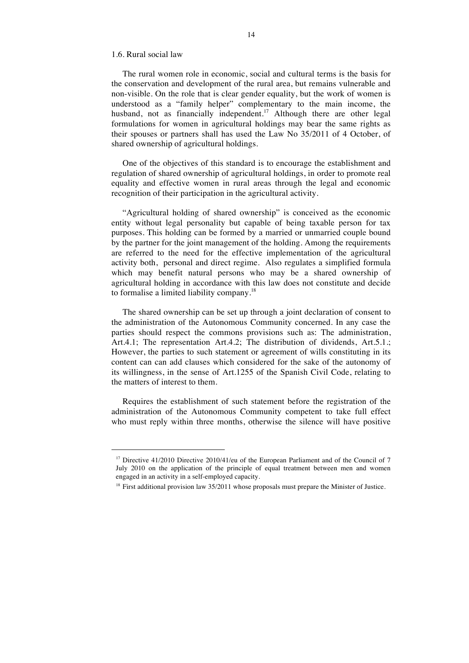#### 1.6. Rural social law

The rural women role in economic, social and cultural terms is the basis for the conservation and development of the rural area, but remains vulnerable and non-visible. On the role that is clear gender equality, but the work of women is understood as a "family helper" complementary to the main income, the husband, not as financially independent.<sup>17</sup> Although there are other legal formulations for women in agricultural holdings may bear the same rights as their spouses or partners shall has used the Law No 35/2011 of 4 October, of shared ownership of agricultural holdings.

One of the objectives of this standard is to encourage the establishment and regulation of shared ownership of agricultural holdings, in order to promote real equality and effective women in rural areas through the legal and economic recognition of their participation in the agricultural activity.

"Agricultural holding of shared ownership" is conceived as the economic entity without legal personality but capable of being taxable person for tax purposes. This holding can be formed by a married or unmarried couple bound by the partner for the joint management of the holding. Among the requirements are referred to the need for the effective implementation of the agricultural activity both, personal and direct regime. Also regulates a simplified formula which may benefit natural persons who may be a shared ownership of agricultural holding in accordance with this law does not constitute and decide to formalise a limited liability company.18

The shared ownership can be set up through a joint declaration of consent to the administration of the Autonomous Community concerned. In any case the parties should respect the commons provisions such as: The administration, Art.4.1; The representation Art.4.2; The distribution of dividends, Art.5.1.; However, the parties to such statement or agreement of wills constituting in its content can can add clauses which considered for the sake of the autonomy of its willingness, in the sense of Art.1255 of the Spanish Civil Code, relating to the matters of interest to them.

Requires the establishment of such statement before the registration of the administration of the Autonomous Community competent to take full effect who must reply within three months, otherwise the silence will have positive

 $17$  Directive 41/2010 Directive 2010/41/eu of the European Parliament and of the Council of 7 July 2010 on the application of the principle of equal treatment between men and women engaged in an activity in a self-employed capacity.

<sup>&</sup>lt;sup>18</sup> First additional provision law 35/2011 whose proposals must prepare the Minister of Justice.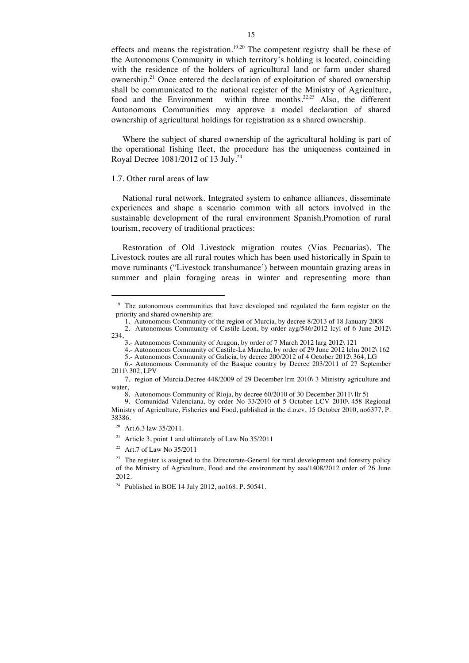effects and means the registration.<sup>19,20</sup> The competent registry shall be these of the Autonomous Community in which territory's holding is located, coinciding with the residence of the holders of agricultural land or farm under shared ownership.<sup>21</sup> Once entered the declaration of exploitation of shared ownership shall be communicated to the national register of the Ministry of Agriculture, food and the Environment within three months.<sup>22,23</sup> Also, the different Autonomous Communities may approve a model declaration of shared ownership of agricultural holdings for registration as a shared ownership.

Where the subject of shared ownership of the agricultural holding is part of the operational fishing fleet, the procedure has the uniqueness contained in Royal Decree 1081/2012 of 13 July.<sup>24</sup>

#### 1.7. Other rural areas of law

National rural network. Integrated system to enhance alliances, disseminate experiences and shape a scenario common with all actors involved in the sustainable development of the rural environment Spanish.Promotion of rural tourism, recovery of traditional practices:

Restoration of Old Livestock migration routes (Vias Pecuarias). The Livestock routes are all rural routes which has been used historically in Spain to move ruminants ("Livestock transhumance') between mountain grazing areas in summer and plain foraging areas in winter and representing more than

- 1.- Autonomous Community of the region of Murcia, by decree 8/2013 of 18 January 2008
- 2.- Autonomous Community of Castile-Leon, by order ayg/546/2012 lcyl of 6 June 2012\ 234,
	- 3.- Autonomous Community of Aragon, by order of 7 March 2012 larg 2012\ 121
	- 4.- Autonomous Community of Castile-La Mancha, by order of 29 June 2012 lclm 2012\ 162

<sup>&</sup>lt;sup>19</sup> The autonomous communities that have developed and regulated the farm register on the priority and shared ownership are:

<sup>5.-</sup> Autonomous Community of Galicia, by decree 200/2012 of 4 October 2012\ 364, LG 6.- Autonomous Community of the Basque country by Decree 203/2011 of 27 September 2011\ 302, LPV

<sup>7.-</sup> region of Murcia.Decree 448/2009 of 29 December lrm 2010\ 3 Ministry agriculture and water

<sup>8.-</sup> Autonomous Community of Rioja, by decree 60/2010 of 30 December 2011\ llr 5)

<sup>9.-</sup> Comunidad Valenciana, by order No 33/2010 of 5 October LCV 2010\ 458 Regional Ministry of Agriculture, Fisheries and Food, published in the d.o.cv, 15 October 2010, no6377, P. 38386.

<sup>&</sup>lt;sup>20</sup> Art.6.3 law 35/2011.

<sup>&</sup>lt;sup>21</sup> Article 3, point 1 and ultimately of Law No  $35/2011$ 

<sup>&</sup>lt;sup>22</sup> Art.7 of Law No  $35/2011$ 

 $23$  The register is assigned to the Directorate-General for rural development and forestry policy of the Ministry of Agriculture, Food and the environment by aaa/1408/2012 order of 26 June 2012.

<sup>24</sup> Published in BOE 14 July 2012, no168, P. 50541.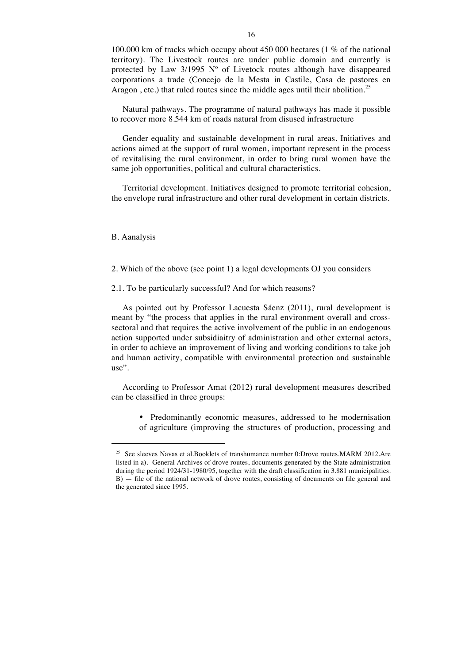100.000 km of tracks which occupy about 450 000 hectares (1 % of the national territory). The Livestock routes are under public domain and currently is protected by Law 3/1995 Nº of Livetock routes although have disappeared corporations a trade (Concejo de la Mesta in Castile, Casa de pastores en Aragon, etc.) that ruled routes since the middle ages until their abolition.<sup>25</sup>

Natural pathways. The programme of natural pathways has made it possible to recover more 8.544 km of roads natural from disused infrastructure

Gender equality and sustainable development in rural areas. Initiatives and actions aimed at the support of rural women, important represent in the process of revitalising the rural environment, in order to bring rural women have the same job opportunities, political and cultural characteristics.

Territorial development. Initiatives designed to promote territorial cohesion, the envelope rural infrastructure and other rural development in certain districts.

B. Aanalysis

### 2. Which of the above (see point 1) a legal developments OJ you considers

2.1. To be particularly successful? And for which reasons?

As pointed out by Professor Lacuesta Sáenz (2011), rural development is meant by "the process that applies in the rural environment overall and crosssectoral and that requires the active involvement of the public in an endogenous action supported under subsidiaitry of administration and other external actors, in order to achieve an improvement of living and working conditions to take job and human activity, compatible with environmental protection and sustainable use".

According to Professor Amat (2012) rural development measures described can be classified in three groups:

• Predominantly economic measures, addressed to he modernisation of agriculture (improving the structures of production, processing and

<sup>&</sup>lt;sup>25</sup> See sleeves Navas et al.Booklets of transhumance number 0:Drove routes.MARM 2012.Are listed in a).- General Archives of drove routes, documents generated by the State administration during the period 1924/31-1980/95, together with the draft classification in 3.881 municipalities. B) — file of the national network of drove routes, consisting of documents on file general and the generated since 1995.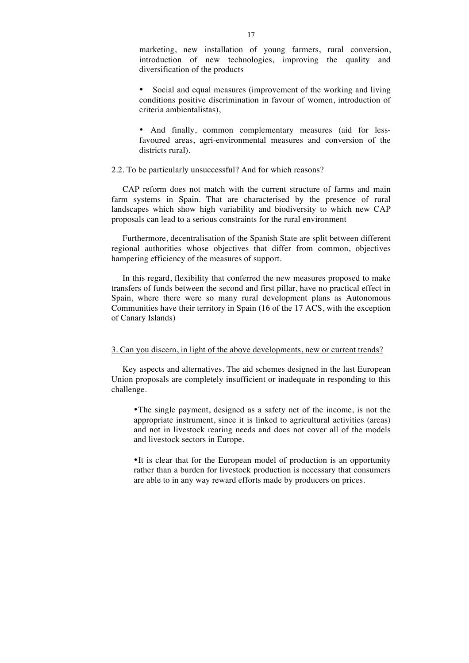marketing, new installation of young farmers, rural conversion, introduction of new technologies, improving the quality and diversification of the products

Social and equal measures (improvement of the working and living conditions positive discrimination in favour of women, introduction of criteria ambientalistas),

• And finally, common complementary measures (aid for lessfavoured areas, agri-environmental measures and conversion of the districts rural).

## 2.2. To be particularly unsuccessful? And for which reasons?

CAP reform does not match with the current structure of farms and main farm systems in Spain. That are characterised by the presence of rural landscapes which show high variability and biodiversity to which new CAP proposals can lead to a serious constraints for the rural environment

Furthermore, decentralisation of the Spanish State are split between different regional authorities whose objectives that differ from common, objectives hampering efficiency of the measures of support.

In this regard, flexibility that conferred the new measures proposed to make transfers of funds between the second and first pillar, have no practical effect in Spain, where there were so many rural development plans as Autonomous Communities have their territory in Spain (16 of the 17 ACS, with the exception of Canary Islands)

## 3. Can you discern, in light of the above developments, new or current trends?

Key aspects and alternatives. The aid schemes designed in the last European Union proposals are completely insufficient or inadequate in responding to this challenge.

•The single payment, designed as a safety net of the income, is not the appropriate instrument, since it is linked to agricultural activities (areas) and not in livestock rearing needs and does not cover all of the models and livestock sectors in Europe.

•It is clear that for the European model of production is an opportunity rather than a burden for livestock production is necessary that consumers are able to in any way reward efforts made by producers on prices.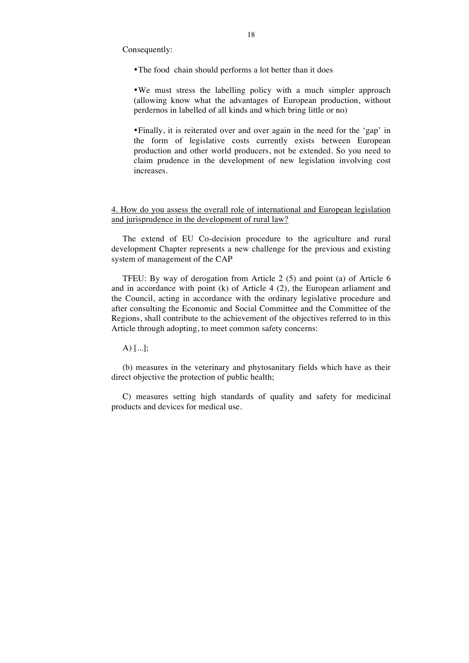Consequently:

•The food chain should performs a lot better than it does

•We must stress the labelling policy with a much simpler approach (allowing know what the advantages of European production, without perdernos in labelled of all kinds and which bring little or no)

•Finally, it is reiterated over and over again in the need for the 'gap' in the form of legislative costs currently exists between European production and other world producers, not be extended. So you need to claim prudence in the development of new legislation involving cost increases.

4. How do you assess the overall role of international and European legislation and jurisprudence in the development of rural law?

The extend of EU Co-decision procedure to the agriculture and rural development Chapter represents a new challenge for the previous and existing system of management of the CAP

TFEU: By way of derogation from Article 2 (5) and point (a) of Article 6 and in accordance with point (k) of Article 4 (2), the European arliament and the Council, acting in accordance with the ordinary legislative procedure and after consulting the Economic and Social Committee and the Committee of the Regions, shall contribute to the achievement of the objectives referred to in this Article through adopting, to meet common safety concerns:

A) [...];

(b) measures in the veterinary and phytosanitary fields which have as their direct objective the protection of public health;

C) measures setting high standards of quality and safety for medicinal products and devices for medical use.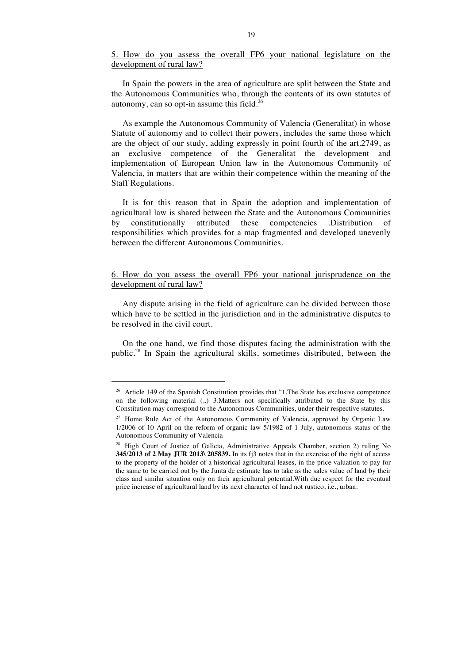5. How do you assess the overall FP6 your national legislature on the development of rural law?

In Spain the powers in the area of agriculture are split between the State and the Autonomous Communities who, through the contents of its own statutes of autonomy, can so opt-in assume this field.<sup>26</sup>

As example the Autonomous Community of Valencia (Generalitat) in whose Statute of autonomy and to collect their powers, includes the same those which are the object of our study, adding expressly in point fourth of the art.2749, as an exclusive competence of the Generalitat the development and implementation of European Union law in the Autonomous Community of Valencia, in matters that are within their competence within the meaning of the Staff Regulations.

It is for this reason that in Spain the adoption and implementation of agricultural law is shared between the State and the Autonomous Communities by constitutionally attributed these competencies .Distribution responsibilities which provides for a map fragmented and developed unevenly between the different Autonomous Communities.

# 6. How do you assess the overall FP6 your national jurisprudence on the development of rural law?

Any dispute arising in the field of agriculture can be divided between those which have to be settled in the jurisdiction and in the administrative disputes to be resolved in the civil court.

On the one hand, we find those disputes facing the administration with the public.<sup>28</sup> In Spain the agricultural skills, sometimes distributed, between the

<sup>&</sup>lt;sup>26</sup> Article 149 of the Spanish Constitution provides that "1. The State has exclusive competence on the following material (..) 3.Matters not specifically attributed to the State by this Constitution may correspond to the Autonomous Communities, under their respective statutes.

<sup>&</sup>lt;sup>27</sup> Home Rule Act of the Autonomous Community of Valencia, approved by Organic Law 1/2006 of 10 April on the reform of organic law 5/1982 of 1 July, autonomous status of the Autonomous Community of Valencia

<sup>&</sup>lt;sup>28</sup> High Court of Justice of Galicia, Administrative Appeals Chamber, section 2) ruling No **345/2013 of 2 May JUR 2013\ 205839.** In its fj3 notes that in the exercise of the right of access to the property of the holder of a historical agricultural leases, in the price valuation to pay for the same to be carried out by the Junta de estimate has to take as the sales value of land by their class and similar situation only on their agricultural potential.With due respect for the eventual price increase of agricultural land by its next character of land not rustico, i.e., urban.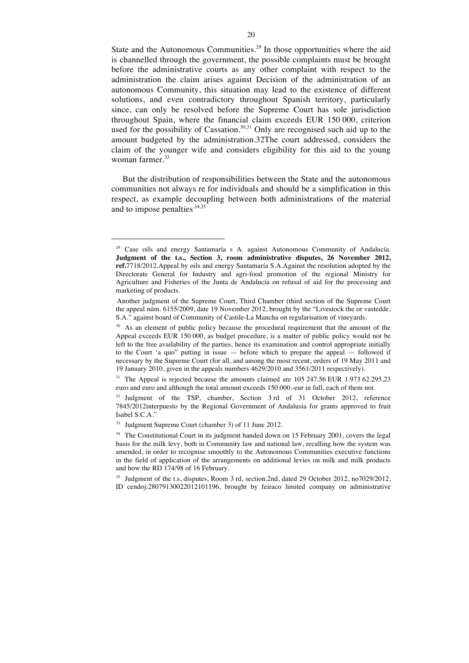State and the Autonomous Communities.<sup>29</sup> In those opportunities where the aid is channelled through the government, the possible complaints must be brought before the administrative courts as any other complaint with respect to the administration the claim arises against Decision of the administration of an autonomous Community, this situation may lead to the existence of different solutions, and even contradictory throughout Spanish territory, particularly since, can only be resolved before the Supreme Court has sole jurisdiction throughout Spain, where the financial claim exceeds EUR 150 000, criterion used for the possibility of Cassation. $30,31$  Only are recognised such aid up to the amount budgeted by the administration.32The court addressed, considers the claim of the younger wife and considers eligibility for this aid to the young woman farmer.<sup>33</sup>

But the distribution of responsibilities between the State and the autonomous communities not always re for individuals and should be a simplification in this respect, as example decoupling between both administrations of the material and to impose penalties.  $34,35$ 

<sup>&</sup>lt;sup>29</sup> Case oils and energy Santamaría s A. against Autonomous Community of Andalucía. **Judgment of the t.s., Section 3, room administrative disputes, 26 November 2012, ref.**7718/2012.Appeal by oils and energy Santamaría S.A.Against the resolution adopted by the Directorate General for Industry and agri-food promotion of the regional Ministry for Agriculture and Fisheries of the Junta de Andalucía on refusal of aid for the processing and marketing of products.

Another judgment of the Supreme Court, Third Chamber (third section of the Supreme Court the appeal núm. 6155/2009, date 19 November 2012, brought by the "Livestock the or vastedde, S.A." against board of Community of Castile-La Mancha on regularisation of vineyards.

<sup>&</sup>lt;sup>30</sup> As an element of public policy because the procedural requirement that the amount of the Appeal exceeds EUR 150 000, as budget procedure, is a matter of public policy would not be left to the free availability of the parties, hence its examination and control appropriate initially to the Court 'a quo" putting in issue — before which to prepare the appeal — followed if necessary by the Supreme Court (for all, and among the most recent, orders of 19 May 2011 and 19 January 2010, given in the appeals numbers 4629/2010 and 3561/2011 respectively).

<sup>&</sup>lt;sup>31</sup> The Appeal is rejected because the amounts claimed are  $105\,247.56\,\text{EUR}\,1.973\,62.295.23$ euro and euro and although the total amount exceeds 150.000.-eur in full, each of them not.

 $32$  Judgment of the TSP, chamber, Section 3 rd of 31 October 2012, reference 7845/2012interpuesto by the Regional Government of Andalusia for grants approved to fruit Isabel S.C.A."

<sup>33</sup> Judgment Supreme Court (chamber 3) of 11 June 2012.

<sup>&</sup>lt;sup>34</sup> The Constitutional Court in its judgment handed down on 15 February 2001, covers the legal basis for the milk levy, both in Community law and national law, recalling how the system was amended, in order to recognise smoothly to the Autonomous Communities executive functions in the field of application of the arrangements on additional levies on milk and milk products and how the RD 174/98 of 16 February.

<sup>&</sup>lt;sup>35</sup> Judgment of the t.s, disputes, Room 3 rd, section.2nd, dated 29 October 2012, no7029/2012, ID cendoj:28079130022012101196, brought by feiraco limited company on administrative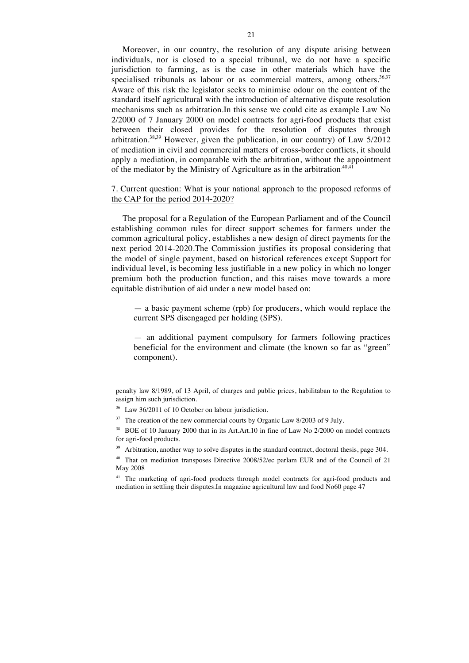Moreover, in our country, the resolution of any dispute arising between individuals, nor is closed to a special tribunal, we do not have a specific jurisdiction to farming, as is the case in other materials which have the specialised tribunals as labour or as commercial matters, among others.<sup>36,37</sup> Aware of this risk the legislator seeks to minimise odour on the content of the standard itself agricultural with the introduction of alternative dispute resolution mechanisms such as arbitration.In this sense we could cite as example Law No 2/2000 of 7 January 2000 on model contracts for agri-food products that exist between their closed provides for the resolution of disputes through arbitration.<sup>38,39</sup> However, given the publication, in our country) of Law  $5/2012$ of mediation in civil and commercial matters of cross-border conflicts, it should apply a mediation, in comparable with the arbitration, without the appointment of the mediator by the Ministry of Agriculture as in the arbitration.<sup>40,41</sup>

## 7. Current question: What is your national approach to the proposed reforms of the CAP for the period 2014-2020?

The proposal for a Regulation of the European Parliament and of the Council establishing common rules for direct support schemes for farmers under the common agricultural policy, establishes a new design of direct payments for the next period 2014-2020.The Commission justifies its proposal considering that the model of single payment, based on historical references except Support for individual level, is becoming less justifiable in a new policy in which no longer premium both the production function, and this raises move towards a more equitable distribution of aid under a new model based on:

— a basic payment scheme (rpb) for producers, which would replace the current SPS disengaged per holding (SPS).

— an additional payment compulsory for farmers following practices beneficial for the environment and climate (the known so far as "green" component).

penalty law 8/1989, of 13 April, of charges and public prices, habilitaban to the Regulation to assign him such jurisdiction.

<sup>&</sup>lt;sup>36</sup> Law 36/2011 of 10 October on labour jurisdiction.

<sup>&</sup>lt;sup>37</sup> The creation of the new commercial courts by Organic Law 8/2003 of 9 July.

<sup>38</sup> BOE of 10 January 2000 that in its Art.Art.10 in fine of Law No 2/2000 on model contracts for agri-food products.

<sup>&</sup>lt;sup>39</sup> Arbitration, another way to solve disputes in the standard contract, doctoral thesis, page 304.

<sup>&</sup>lt;sup>40</sup> That on mediation transposes Directive 2008/52/ec parlam EUR and of the Council of 21 May 2008

<sup>&</sup>lt;sup>41</sup> The marketing of agri-food products through model contracts for agri-food products and mediation in settling their disputes.In magazine agricultural law and food No60 page 47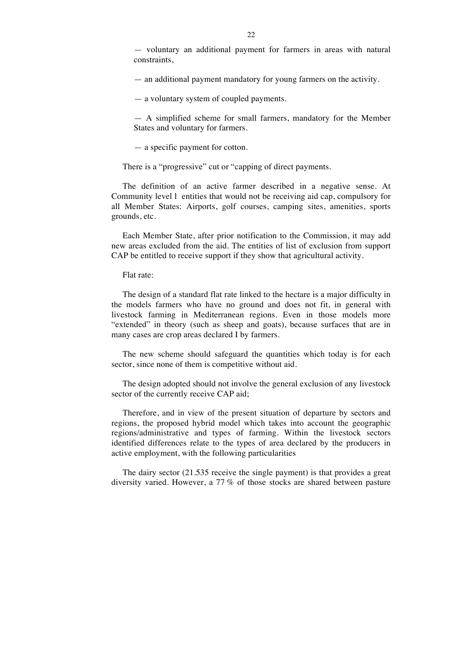— an additional payment mandatory for young farmers on the activity.

— a voluntary system of coupled payments.

— A simplified scheme for small farmers, mandatory for the Member States and voluntary for farmers.

— a specific payment for cotton.

There is a "progressive" cut or "capping of direct payments.

The definition of an active farmer described in a negative sense. At Community level l entities that would not be receiving aid cap, compulsory for all Member States: Airports, golf courses, camping sites, amenities, sports grounds, etc.

Each Member State, after prior notification to the Commission, it may add new areas excluded from the aid. The entities of list of exclusion from support CAP be entitled to receive support if they show that agricultural activity.

Flat rate:

The design of a standard flat rate linked to the hectare is a major difficulty in the models farmers who have no ground and does not fit, in general with livestock farming in Mediterranean regions. Even in those models more "extended" in theory (such as sheep and goats), because surfaces that are in many cases are crop areas declared I by farmers.

The new scheme should safeguard the quantities which today is for each sector, since none of them is competitive without aid.

The design adopted should not involve the general exclusion of any livestock sector of the currently receive CAP aid;

Therefore, and in view of the present situation of departure by sectors and regions, the proposed hybrid model which takes into account the geographic regions/administrative and types of farming. Within the livestock sectors identified differences relate to the types of area declared by the producers in active employment, with the following particularities

The dairy sector (21.535 receive the single payment) is that provides a great diversity varied. However, a 77 % of those stocks are shared between pasture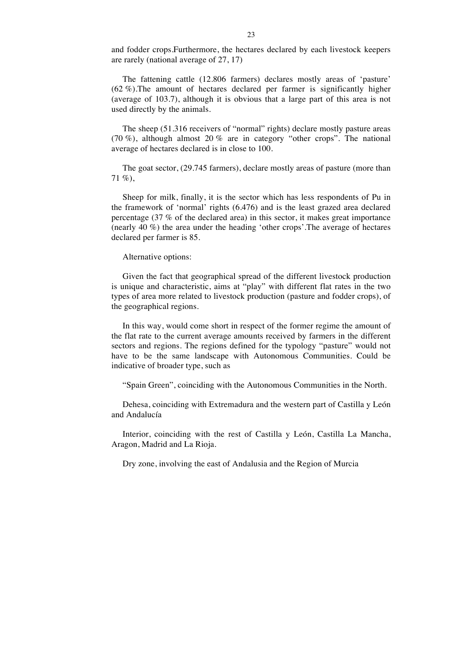and fodder crops.Furthermore, the hectares declared by each livestock keepers are rarely (national average of 27, 17)

The fattening cattle (12.806 farmers) declares mostly areas of 'pasture' (62 %).The amount of hectares declared per farmer is significantly higher (average of 103.7), although it is obvious that a large part of this area is not used directly by the animals.

The sheep (51.316 receivers of "normal" rights) declare mostly pasture areas (70 %), although almost 20 % are in category "other crops". The national average of hectares declared is in close to 100.

The goat sector, (29.745 farmers), declare mostly areas of pasture (more than 71 %),

Sheep for milk, finally, it is the sector which has less respondents of Pu in the framework of 'normal' rights (6.476) and is the least grazed area declared percentage (37 % of the declared area) in this sector, it makes great importance (nearly 40 %) the area under the heading 'other crops'.The average of hectares declared per farmer is 85.

### Alternative options:

Given the fact that geographical spread of the different livestock production is unique and characteristic, aims at "play" with different flat rates in the two types of area more related to livestock production (pasture and fodder crops), of the geographical regions.

In this way, would come short in respect of the former regime the amount of the flat rate to the current average amounts received by farmers in the different sectors and regions. The regions defined for the typology "pasture" would not have to be the same landscape with Autonomous Communities. Could be indicative of broader type, such as

"Spain Green", coinciding with the Autonomous Communities in the North.

Dehesa, coinciding with Extremadura and the western part of Castilla y León and Andalucía

Interior, coinciding with the rest of Castilla y León, Castilla La Mancha, Aragon, Madrid and La Rioja.

Dry zone, involving the east of Andalusia and the Region of Murcia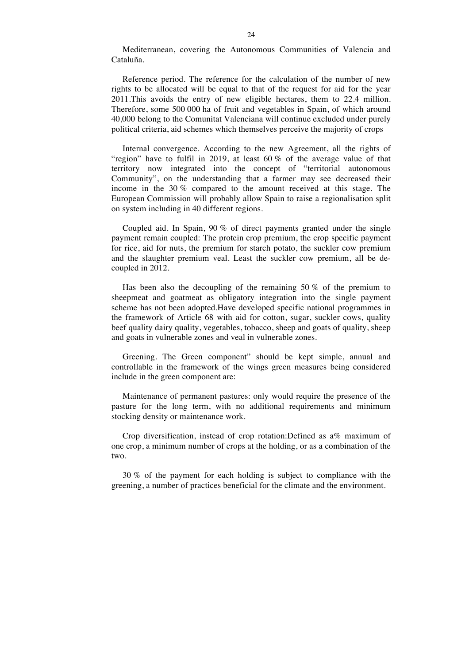Mediterranean, covering the Autonomous Communities of Valencia and Cataluña.

Reference period. The reference for the calculation of the number of new rights to be allocated will be equal to that of the request for aid for the year 2011.This avoids the entry of new eligible hectares, them to 22.4 million. Therefore, some 500 000 ha of fruit and vegetables in Spain, of which around 40,000 belong to the Comunitat Valenciana will continue excluded under purely political criteria, aid schemes which themselves perceive the majority of crops

Internal convergence. According to the new Agreement, all the rights of "region" have to fulfil in 2019, at least 60 % of the average value of that territory now integrated into the concept of "territorial autonomous Community", on the understanding that a farmer may see decreased their income in the 30 % compared to the amount received at this stage. The European Commission will probably allow Spain to raise a regionalisation split on system including in 40 different regions.

Coupled aid. In Spain, 90 % of direct payments granted under the single payment remain coupled: The protein crop premium, the crop specific payment for rice, aid for nuts, the premium for starch potato, the suckler cow premium and the slaughter premium veal. Least the suckler cow premium, all be decoupled in 2012.

Has been also the decoupling of the remaining 50 % of the premium to sheepmeat and goatmeat as obligatory integration into the single payment scheme has not been adopted.Have developed specific national programmes in the framework of Article 68 with aid for cotton, sugar, suckler cows, quality beef quality dairy quality, vegetables, tobacco, sheep and goats of quality, sheep and goats in vulnerable zones and veal in vulnerable zones.

Greening. The Green component" should be kept simple, annual and controllable in the framework of the wings green measures being considered include in the green component are:

Maintenance of permanent pastures: only would require the presence of the pasture for the long term, with no additional requirements and minimum stocking density or maintenance work.

Crop diversification, instead of crop rotation:Defined as a% maximum of one crop, a minimum number of crops at the holding, or as a combination of the two.

30 % of the payment for each holding is subject to compliance with the greening, a number of practices beneficial for the climate and the environment.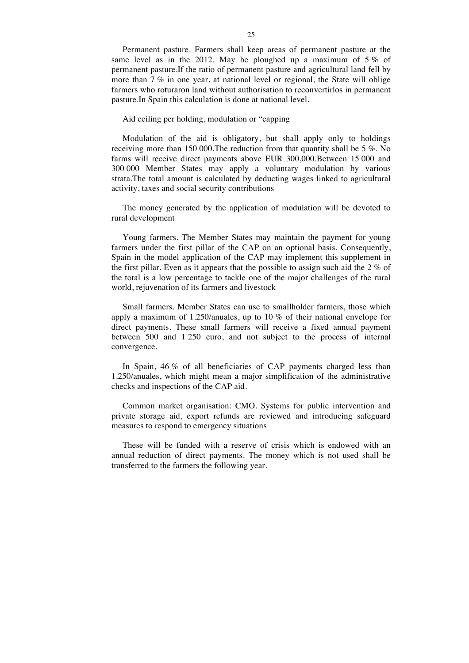Permanent pasture. Farmers shall keep areas of permanent pasture at the same level as in the 2012. May be ploughed up a maximum of  $5\%$  of permanent pasture.If the ratio of permanent pasture and agricultural land fell by more than 7 % in one year, at national level or regional, the State will oblige farmers who roturaron land without authorisation to reconvertirlos in permanent pasture.In Spain this calculation is done at national level.

#### Aid ceiling per holding, modulation or "capping

Modulation of the aid is obligatory, but shall apply only to holdings receiving more than 150 000.The reduction from that quantity shall be 5 %. No farms will receive direct payments above EUR 300,000.Between 15 000 and 300 000 Member States may apply a voluntary modulation by various strata.The total amount is calculated by deducting wages linked to agricultural activity, taxes and social security contributions

The money generated by the application of modulation will be devoted to rural development

Young farmers. The Member States may maintain the payment for young farmers under the first pillar of the CAP on an optional basis. Consequently, Spain in the model application of the CAP may implement this supplement in the first pillar. Even as it appears that the possible to assign such aid the 2 % of the total is a low percentage to tackle one of the major challenges of the rural world, rejuvenation of its farmers and livestock

Small farmers. Member States can use to smallholder farmers, those which apply a maximum of 1.250/anuales, up to 10 % of their national envelope for direct payments. These small farmers will receive a fixed annual payment between 500 and 1 250 euro, and not subject to the process of internal convergence.

In Spain, 46 % of all beneficiaries of CAP payments charged less than 1.250/anuales, which might mean a major simplification of the administrative checks and inspections of the CAP aid.

Common market organisation: CMO. Systems for public intervention and private storage aid, export refunds are reviewed and introducing safeguard measures to respond to emergency situations

These will be funded with a reserve of crisis which is endowed with an annual reduction of direct payments. The money which is not used shall be transferred to the farmers the following year.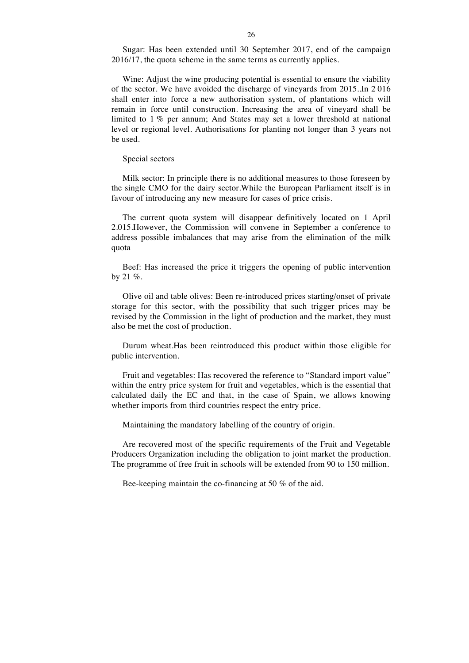Sugar: Has been extended until 30 September 2017, end of the campaign 2016/17, the quota scheme in the same terms as currently applies.

Wine: Adjust the wine producing potential is essential to ensure the viability of the sector. We have avoided the discharge of vineyards from 2015..In 2 016 shall enter into force a new authorisation system, of plantations which will remain in force until construction. Increasing the area of vineyard shall be limited to 1 % per annum; And States may set a lower threshold at national level or regional level. Authorisations for planting not longer than 3 years not be used.

Special sectors

Milk sector: In principle there is no additional measures to those foreseen by the single CMO for the dairy sector.While the European Parliament itself is in favour of introducing any new measure for cases of price crisis.

The current quota system will disappear definitively located on 1 April 2.015.However, the Commission will convene in September a conference to address possible imbalances that may arise from the elimination of the milk quota

Beef: Has increased the price it triggers the opening of public intervention by 21  $%$ .

Olive oil and table olives: Been re-introduced prices starting/onset of private storage for this sector, with the possibility that such trigger prices may be revised by the Commission in the light of production and the market, they must also be met the cost of production.

Durum wheat.Has been reintroduced this product within those eligible for public intervention.

Fruit and vegetables: Has recovered the reference to "Standard import value" within the entry price system for fruit and vegetables, which is the essential that calculated daily the EC and that, in the case of Spain, we allows knowing whether imports from third countries respect the entry price.

Maintaining the mandatory labelling of the country of origin.

Are recovered most of the specific requirements of the Fruit and Vegetable Producers Organization including the obligation to joint market the production. The programme of free fruit in schools will be extended from 90 to 150 million.

Bee-keeping maintain the co-financing at 50 % of the aid.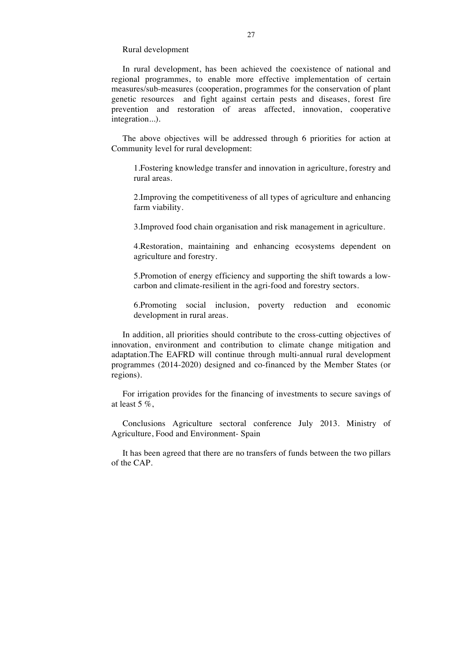Rural development

In rural development, has been achieved the coexistence of national and regional programmes, to enable more effective implementation of certain measures/sub-measures (cooperation, programmes for the conservation of plant genetic resources and fight against certain pests and diseases, forest fire prevention and restoration of areas affected, innovation, cooperative integration...).

The above objectives will be addressed through 6 priorities for action at Community level for rural development:

1.Fostering knowledge transfer and innovation in agriculture, forestry and rural areas.

2.Improving the competitiveness of all types of agriculture and enhancing farm viability.

3.Improved food chain organisation and risk management in agriculture.

4.Restoration, maintaining and enhancing ecosystems dependent on agriculture and forestry.

5.Promotion of energy efficiency and supporting the shift towards a lowcarbon and climate-resilient in the agri-food and forestry sectors.

6.Promoting social inclusion, poverty reduction and economic development in rural areas.

In addition, all priorities should contribute to the cross-cutting objectives of innovation, environment and contribution to climate change mitigation and adaptation.The EAFRD will continue through multi-annual rural development programmes (2014-2020) designed and co-financed by the Member States (or regions).

For irrigation provides for the financing of investments to secure savings of at least 5 %,

Conclusions Agriculture sectoral conference July 2013. Ministry of Agriculture, Food and Environment- Spain

It has been agreed that there are no transfers of funds between the two pillars of the CAP.